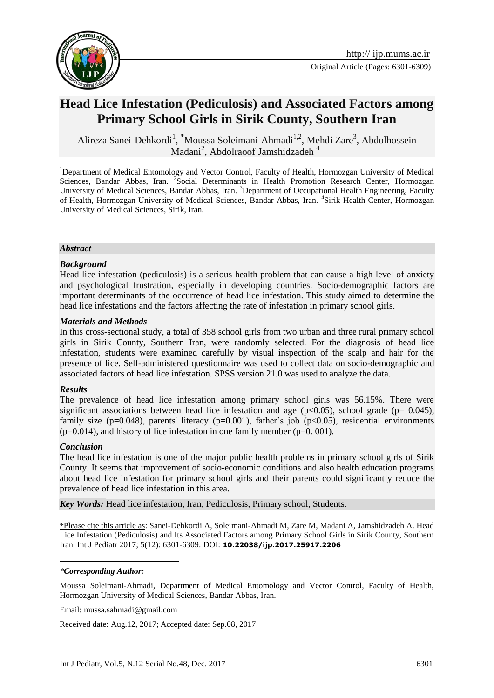

# **Head Lice Infestation (Pediculosis) and Associated Factors among Primary School Girls in Sirik County, Southern Iran**

Alireza Sanei-Dehkordi<sup>1</sup>, <sup>\*</sup>Moussa Soleimani-Ahmadi<sup>1,2</sup>, Mehdi Zare<sup>3</sup>, Abdolhossein Madani<sup>2</sup>, Abdolraoof Jamshidzadeh<sup>4</sup>

<sup>1</sup>Department of Medical Entomology and Vector Control, Faculty of Health, Hormozgan University of Medical Sciences, Bandar Abbas, Iran. <sup>2</sup> Social Determinants in Health Promotion Research Center, Hormozgan University of Medical Sciences, Bandar Abbas, Iran. <sup>3</sup>Department of Occupational Health Engineering, Faculty of Health, Hormozgan University of Medical Sciences, Bandar Abbas, Iran. <sup>4</sup>Sirik Health Center, Hormozgan University of Medical Sciences, Sirik, Iran.

#### *Abstract*

#### *Background*

Head lice infestation (pediculosis) is a serious health problem that can cause a high level of anxiety and psychological frustration, especially in developing countries. Socio-demographic factors are important determinants of the occurrence of head lice infestation. This study aimed to determine the head lice infestations and the factors affecting the rate of infestation in primary school girls.

#### *Materials and Methods*

In this cross-sectional study, a total of 358 school girls from two urban and three rural primary school girls in Sirik County, Southern Iran, were randomly selected. For the diagnosis of head lice infestation, students were examined carefully by visual inspection of the scalp and hair for the presence of lice. Self-administered questionnaire was used to collect data on socio-demographic and associated factors of head lice infestation. SPSS version 21.0 was used to analyze the data.

#### *Results*

The prevalence of head lice infestation among primary school girls was 56.15%. There were significant associations between head lice infestation and age ( $p<0.05$ ), school grade ( $p= 0.045$ ), family size ( $p=0.048$ ), parents' literacy ( $p=0.001$ ), father's job ( $p<0.05$ ), residential environments  $(p=0.014)$ , and history of lice infestation in one family member  $(p=0.001)$ .

#### *Conclusion*

<u>.</u>

The head lice infestation is one of the major public health problems in primary school girls of Sirik County. It seems that improvement of socio-economic conditions and also health education programs about head lice infestation for primary school girls and their parents could significantly reduce the prevalence of head lice infestation in this area.

*Key Words:* Head lice infestation, Iran, Pediculosis, Primary school, Students.

\*Please cite this article as: Sanei-Dehkordi A, Soleimani-Ahmadi M, Zare M, Madani A, Jamshidzadeh A. Head Lice Infestation (Pediculosis) and Its Associated Factors among Primary School Girls in Sirik County, Southern Iran. Int J Pediatr 2017; 5(12): 6301-6309. DOI: **10.22038/ijp.2017.25917.2206**

#### *\*Corresponding Author:*

Moussa Soleimani-Ahmadi, Department of Medical Entomology and Vector Control, Faculty of Health, Hormozgan University of Medical Sciences, Bandar Abbas, Iran.

Email: mussa.sahmadi@gmail.com

Received date: Aug.12, 2017; Accepted date: Sep.08, 2017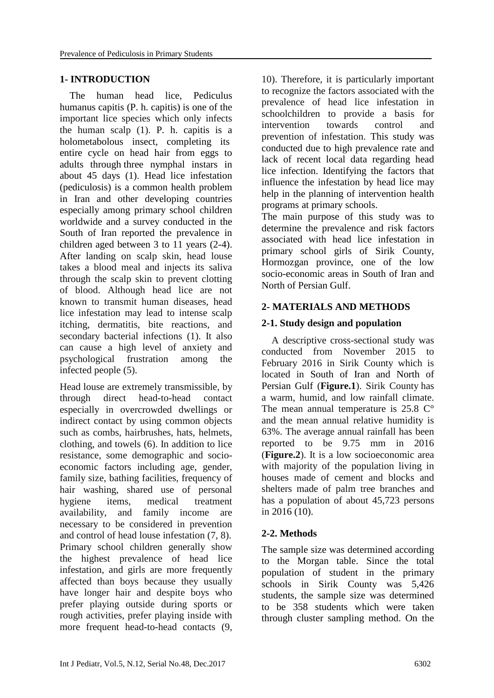### **1- INTRODUCTION**

 The human head lice, Pediculus humanus capitis (P. h. capitis) is one of the important lice species which only infects the human scalp (1). P*.* h. capitis is a holometabolous insect, completing its entire cycle on head hair from eggs to adults through three nymphal instars in about 45 days (1). Head lice infestation (pediculosis) is a common health problem in Iran and other developing countries especially among primary school children worldwide and a survey conducted in the South of Iran reported the prevalence in children aged between 3 to 11 years (2-4). After landing on scalp skin, head louse takes a blood meal and injects its saliva through the scalp skin to prevent clotting of blood. Although head lice are not known to transmit human diseases, head lice infestation may lead to intense scalp itching, dermatitis, bite reactions, and secondary bacterial infections (1). It also can cause a high level of anxiety and psychological frustration among the infected people (5).

Head louse are extremely transmissible, by through direct head-to-head contact especially in overcrowded dwellings or indirect contact by using common objects such as combs, hairbrushes, hats, helmets, clothing, and towels (6). In addition to lice resistance, some demographic and socioeconomic factors including age, gender, family size, bathing facilities, frequency of hair washing, shared use of personal hygiene items, medical treatment availability, and family income are necessary to be considered in prevention and control of head louse infestation (7, 8). Primary school children generally show the highest prevalence of head lice infestation, and girls are more frequently affected than boys because they usually have longer hair and despite boys who prefer playing outside during sports or rough activities, prefer playing inside with more frequent head-to-head contacts (9, 10). Therefore, it is particularly important to recognize the factors associated with the prevalence of head lice infestation in schoolchildren to provide a basis for intervention towards control and prevention of infestation. This study was conducted due to high prevalence rate and lack of recent local data regarding head lice infection. Identifying the factors that influence the infestation by head lice may help in the planning of intervention health programs at primary schools.

The main purpose of this study was to determine the prevalence and risk factors associated with head lice infestation in primary school girls of Sirik County, Hormozgan province, one of the low socio-economic areas in South of Iran and North of Persian Gulf.

### **2- MATERIALS AND METHODS**

### **2-1. Study design and population**

 A descriptive cross-sectional study was conducted from November 2015 to February 2016 in Sirik County which is located in South of Iran and North of Persian Gulf (**Figure.1**). Sirik County has a warm, humid, and low rainfall climate. The mean annual temperature is  $25.8 \degree$ and the mean annual relative humidity is 63%. The average annual rainfall has been reported to be 9.75 mm in 2016 (**Figure.2**). It is a low socioeconomic area with majority of the population living in houses made of cement and blocks and shelters made of palm tree branches and has a population of about 45,723 persons in 2016 (10).

### **2-2. Methods**

The sample size was determined according to the Morgan table. Since the total population of student in the primary schools in Sirik County was 5,426 students, the sample size was determined to be 358 students which were taken through cluster sampling method. On the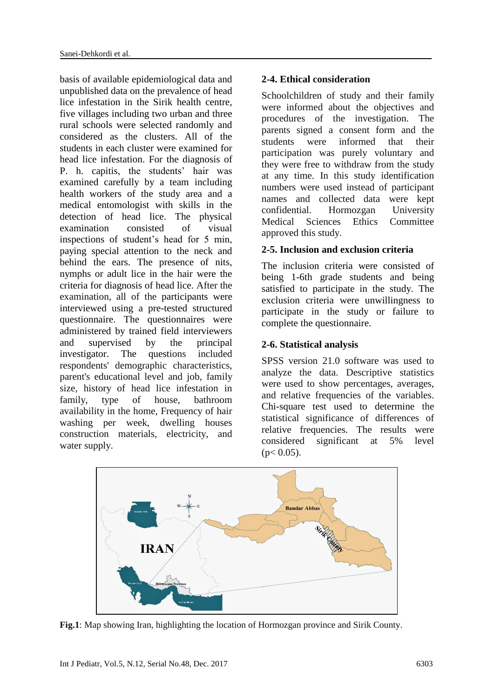basis of available epidemiological data and unpublished data on the prevalence of head lice infestation in the Sirik health centre, five villages including two urban and three rural schools were selected randomly and considered as the clusters. All of the students in each cluster were examined for head lice infestation. For the diagnosis of P. h. capitis, the students' hair was examined carefully by a team including health workers of the study area and a medical entomologist with skills in the detection of head lice. The physical examination consisted of visual inspections of student's head for 5 min, paying special attention to the neck and behind the ears. The presence of nits, nymphs or adult lice in the hair were the criteria for diagnosis of head lice. After the examination, all of the participants were interviewed using a pre-tested structured questionnaire. The questionnaires were administered by trained field interviewers and supervised by the principal investigator. The questions included respondents' demographic characteristics, parent's educational level and job, family size, history of head lice infestation in family, type of house, bathroom availability in the home, Frequency of hair washing per week, dwelling houses construction materials, electricity, and water supply.

# **2-4. Ethical consideration**

Schoolchildren of study and their family were informed about the objectives and procedures of the investigation. The parents signed a consent form and the students were informed that their participation was purely voluntary and they were free to withdraw from the study at any time. In this study identification numbers were used instead of participant names and collected data were kept confidential. Hormozgan University Medical Sciences Ethics Committee approved this study.

# **2-5. Inclusion and exclusion criteria**

The inclusion criteria were consisted of being 1-6th grade students and being satisfied to participate in the study. The exclusion criteria were unwillingness to participate in the study or failure to complete the questionnaire.

# **2-6. Statistical analysis**

SPSS version 21.0 software was used to analyze the data. Descriptive statistics were used to show percentages, averages, and relative frequencies of the variables. Chi-square test used to determine the statistical significance of differences of relative frequencies. The results were considered significant at 5% level  $(p< 0.05)$ .



**Fig.1**: Map showing Iran, highlighting the location of Hormozgan province and Sirik County.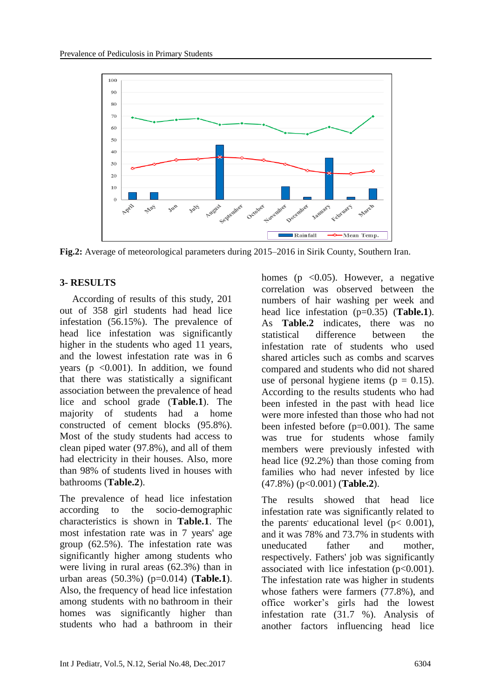

**Fig.2:** Average of meteorological parameters during 2015–2016 in Sirik County, Southern Iran.

# **3- RESULTS**

 According of results of this study, 201 out of 358 girl students had head lice infestation (56.15%). The prevalence of head lice infestation was significantly higher in the students who aged 11 years, and the lowest infestation rate was in 6 years ( $p \leq 0.001$ ). In addition, we found that there was statistically a significant association between the prevalence of head lice and school grade (**Table.1**). The majority of students had a home constructed of cement blocks (95.8%). Most of the study students had access to clean piped water (97.8%), and all of them had electricity in their houses. Also, more than 98% of students lived in houses with bathrooms (**Table.2**).

The prevalence of head lice infestation according to the socio-demographic characteristics is shown in **Table.1**. The most infestation rate was in 7 years' age group (62.5%). The infestation rate was significantly higher among students who were living in rural areas (62.3%) than in urban areas (50.3%) (p=0.014) (**Table.1**). Also, the frequency of head lice infestation among students with no bathroom in their homes was significantly higher than students who had a bathroom in their homes ( $p \leq 0.05$ ). However, a negative correlation was observed between the numbers of hair washing per week and head lice infestation (p=0.35) (**Table.1**). As **Table.2** indicates, there was no statistical difference between the infestation rate of students who used shared articles such as combs and scarves compared and students who did not shared use of personal hygiene items ( $p = 0.15$ ). According to the results students who had been infested in the past with head lice were more infested than those who had not been infested before  $(p=0.001)$ . The same was true for students whose family members were previously infested with head lice (92.2%) than those coming from families who had never infested by lice (47.8%) (p<0.001) (**Table.2**).

The results showed that head lice infestation rate was significantly related to the parents' educational level ( $p < 0.001$ ), and it was 78% and 73.7% in students with uneducated father and mother, respectively. Fathers' job was significantly associated with lice infestation  $(p<0.001)$ . The infestation rate was higher in students whose fathers were farmers (77.8%), and office worker's girls had the lowest infestation rate (31.7 %). Analysis of another factors influencing head lice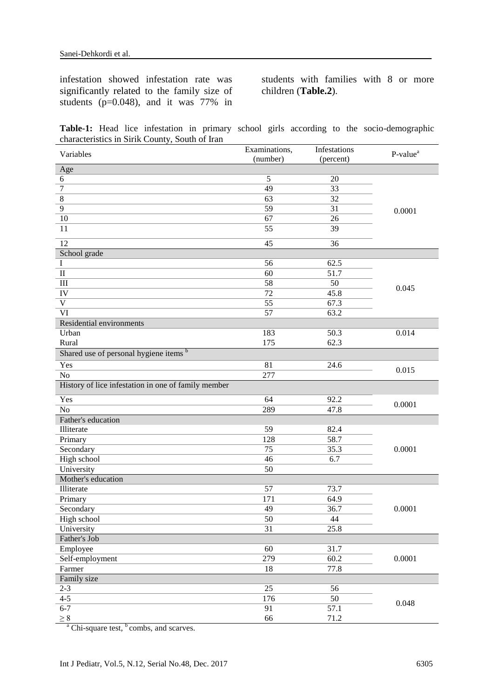infestation showed infestation rate was significantly related to the family size of students (p=0.048), and it was 77% in

students with families with 8 or more children (**Table.2**).

|  |                                                |  |  |  | Table-1: Head lice infestation in primary school girls according to the socio-demographic |
|--|------------------------------------------------|--|--|--|-------------------------------------------------------------------------------------------|
|  | characteristics in Sirik County, South of Iran |  |  |  |                                                                                           |

| Variables                                           | Examinations,   | Infestations | P-value <sup>a</sup> |  |  |
|-----------------------------------------------------|-----------------|--------------|----------------------|--|--|
|                                                     | (number)        | (percent)    |                      |  |  |
| Age                                                 |                 |              |                      |  |  |
| $6\,$                                               | 5               | 20           |                      |  |  |
| $\boldsymbol{7}$                                    | $\overline{49}$ | 33           |                      |  |  |
| $\,8\,$                                             | 63              | 32           |                      |  |  |
| 9                                                   | 59              | 31           | 0.0001               |  |  |
| 10                                                  | 67              | 26           |                      |  |  |
| 11                                                  | 55              | 39           |                      |  |  |
| $\overline{12}$                                     | 45              | 36           |                      |  |  |
| School grade                                        |                 |              |                      |  |  |
| $\bf{I}$                                            | 56              | 62.5         |                      |  |  |
| $\overline{\rm II}$                                 | 60              | 51.7         |                      |  |  |
| $\rm III$                                           | $\overline{58}$ | 50           |                      |  |  |
| IV                                                  | 72              | 45.8         | 0.045                |  |  |
| $\mathbf V$                                         | 55              | 67.3         |                      |  |  |
| VI                                                  | 57              | 63.2         |                      |  |  |
| Residential environments                            |                 |              |                      |  |  |
| Urban                                               | 183             | 50.3         | 0.014                |  |  |
| Rural                                               | 175             | 62.3         |                      |  |  |
| Shared use of personal hygiene items b              |                 |              |                      |  |  |
| Yes                                                 | 81              | 24.6         | 0.015                |  |  |
| $\rm No$                                            | 277             |              |                      |  |  |
| History of lice infestation in one of family member |                 |              |                      |  |  |
| Yes                                                 | 64              | 92.2         | 0.0001               |  |  |
| No                                                  | 289             | 47.8         |                      |  |  |
| Father's education                                  |                 |              |                      |  |  |
| Illiterate                                          | 59              | 82.4         |                      |  |  |
| Primary                                             | 128             | 58.7         |                      |  |  |
| Secondary                                           | 75              | 35.3         | 0.0001               |  |  |
| High school                                         | 46              | 6.7          |                      |  |  |
| University                                          | 50              |              |                      |  |  |
| Mother's education                                  |                 |              |                      |  |  |
| Illiterate                                          | 57              | 73.7         |                      |  |  |
| Primary                                             | 171             | 64.9         |                      |  |  |
| Secondary                                           | 49              | 36.7         | 0.0001               |  |  |
| High school                                         | 50              | 44           |                      |  |  |
| University                                          | 31              | 25.8         |                      |  |  |
| Father's Job                                        |                 |              |                      |  |  |
| Employee                                            | 60              | 31.7         |                      |  |  |
| Self-employment                                     | 279             | 60.2         | 0.0001               |  |  |
| Farmer                                              | 18              | 77.8         |                      |  |  |
| Family size                                         |                 |              |                      |  |  |
| $2 - 3$                                             | 25              | 56           |                      |  |  |
| $4 - 5$                                             | 176             | 50           |                      |  |  |
| $6 - 7$                                             | 91              | 57.1         | 0.048                |  |  |
| $\geq 8$                                            | 66              | 71.2         |                      |  |  |

 $a^a$  Chi-square test,  $b^b$  combs, and scarves.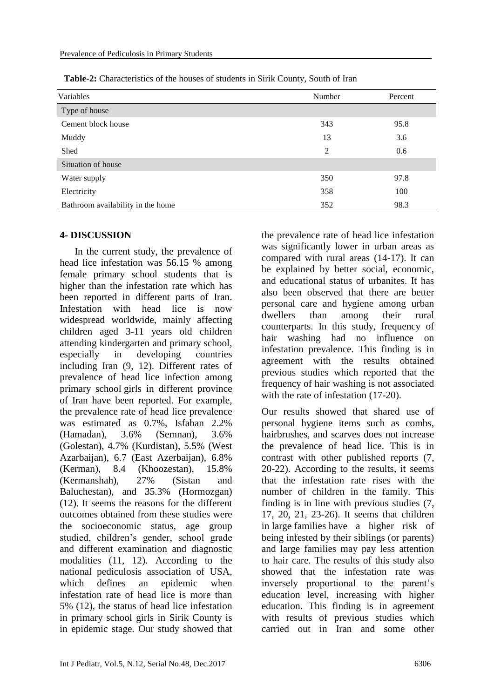| Variables                         | Number | Percent |
|-----------------------------------|--------|---------|
| Type of house                     |        |         |
| Cement block house                | 343    | 95.8    |
| Muddy                             | 13     | 3.6     |
| Shed                              | 2      | 0.6     |
| Situation of house                |        |         |
| Water supply                      | 350    | 97.8    |
| Electricity                       | 358    | 100     |
| Bathroom availability in the home | 352    | 98.3    |

**Table-2:** Characteristics of the houses of students in Sirik County, South of Iran

### **4- DISCUSSION**

 In the current study, the prevalence of head lice infestation was 56.15 % among female primary school students that is higher than the infestation rate which has been reported in different parts of Iran. Infestation with head lice is now widespread worldwide, mainly affecting children aged 3-11 years old children attending kindergarten and primary school, especially in developing countries including Iran (9, 12). Different rates of prevalence of head lice infection among primary school girls in different province of Iran have been reported. For example, the prevalence rate of head lice prevalence was estimated as 0.7%, Isfahan 2.2% (Hamadan), 3.6% (Semnan), 3.6% (Golestan), 4.7% (Kurdistan), 5.5% (West Azarbaijan), 6.7 (East Azerbaijan), 6.8% (Kerman), 8.4 (Khoozestan), 15.8% (Kermanshah), 27% (Sistan and Baluchestan), and 35.3% (Hormozgan) (12). It seems the reasons for the different outcomes obtained from these studies were the socioeconomic status, age group studied, children's gender, school grade and different examination and diagnostic modalities (11, 12). According to the national pediculosis association of USA, which defines an epidemic when infestation rate of head lice is more than 5% (12), the status of head lice infestation in primary school girls in Sirik County is in epidemic stage. Our study showed that

the prevalence rate of head lice infestation was significantly lower in urban areas as compared with rural areas (14-17). It can be explained by better social, economic, and educational status of urbanites. It has also been observed that there are better personal care and hygiene among urban dwellers than among their rural counterparts. In this study, frequency of hair washing had no influence on infestation prevalence. This finding is in agreement with the results obtained previous studies which reported that the frequency of hair washing is not associated with the rate of infestation  $(17-20)$ .

Our results showed that shared use of personal hygiene items such as combs, hairbrushes, and scarves does not increase the prevalence of head lice. This is in contrast with other published reports (7, 20-22). According to the results, it seems that the infestation rate rises with the number of children in the family. This finding is in line with previous studies (7, 17, 20, 21, 23-26). It seems that children in large families have a higher risk of being infested by their siblings (or parents) and large families may pay less attention to hair care. The results of this study also showed that the infestation rate was inversely proportional to the parent's education level, increasing with higher education. This finding is in agreement with results of previous studies which carried out in Iran and some other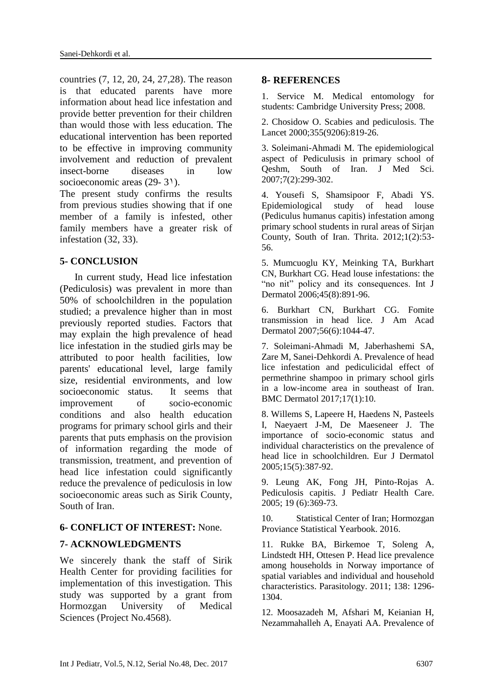countries (7, 12, 20, 24, 27,28). The reason is that educated parents have more information about head lice infestation and provide better prevention for their children than would those with less education. The educational intervention has been reported to be effective in improving community involvement and reduction of prevalent insect-borne diseases in low socioeconomic areas (29- 3<sup>1</sup>).

The present study confirms the results from previous studies showing that if one member of a family is infested, other family members have a greater risk of infestation (32, 33).

### **5- CONCLUSION**

 In current study, Head lice infestation (Pediculosis) was prevalent in more than 50% of schoolchildren in the population studied; a prevalence higher than in most previously reported studies. Factors that may explain the high prevalence of head lice infestation in the studied girls may be attributed to poor health facilities, low parents' educational level, large family size, residential environments, and low socioeconomic status. It seems that improvement of socio-economic conditions and also health education programs for primary school girls and their parents that puts emphasis on the provision of information regarding the mode of transmission, treatment, and prevention of head lice infestation could significantly reduce the prevalence of pediculosis in low socioeconomic areas such as Sirik County, South of Iran.

#### **6- CONFLICT OF INTEREST:** None.

#### **7- ACKNOWLEDGMENTS**

We sincerely thank the staff of Sirik Health Center for providing facilities for implementation of this investigation. This study was supported by a grant from Hormozgan University of Medical Sciences (Project No.4568).

#### **8- REFERENCES**

1. Service M. Medical entomology for students: Cambridge University Press; 2008.

2. Chosidow O. Scabies and pediculosis. The Lancet 2000;355(9206):819-26.

3. Soleimani-Ahmadi M. The epidemiological aspect of Pediculusis in primary school of Qeshm, South of Iran. J Med Sci. 2007;7(2):299-302.

4. Yousefi S, Shamsipoor F, Abadi YS. Epidemiological study of head louse (Pediculus humanus capitis) infestation among primary school students in rural areas of Sirjan County, South of Iran. Thrita. 2012;1(2):53- 56.

5. Mumcuoglu KY, Meinking TA, Burkhart CN, Burkhart CG. Head louse infestations: the "no nit" policy and its consequences. Int J Dermatol 2006;45(8):891-96.

6. Burkhart CN, Burkhart CG. Fomite transmission in head lice. J Am Acad Dermatol 2007;56(6):1044-47.

7. Soleimani-Ahmadi M, Jaberhashemi SA, Zare M, Sanei-Dehkordi A. Prevalence of head lice infestation and pediculicidal effect of permethrine shampoo in primary school girls in a low-income area in southeast of Iran. BMC Dermatol 2017;17(1):10.

8. Willems S, Lapeere H, Haedens N, Pasteels I, Naeyaert J-M, De Maeseneer J. The importance of socio-economic status and individual characteristics on the prevalence of head lice in schoolchildren. Eur J Dermatol 2005;15(5):387-92.

9. Leung AK, Fong JH, Pinto-Rojas A. Pediculosis capitis. J Pediatr Health Care. 2005; 19 (6):369-73.

10. Statistical Center of Iran; Hormozgan Proviance Statistical Yearbook. 2016.

11. Rukke BA, Birkemoe T, Soleng A, Lindstedt HH, Ottesen P. Head lice prevalence among households in Norway importance of spatial variables and individual and household characteristics. Parasitology. 2011; 138: 1296- 1304.

12. Moosazadeh M, Afshari M, Keianian H, Nezammahalleh A, Enayati AA. Prevalence of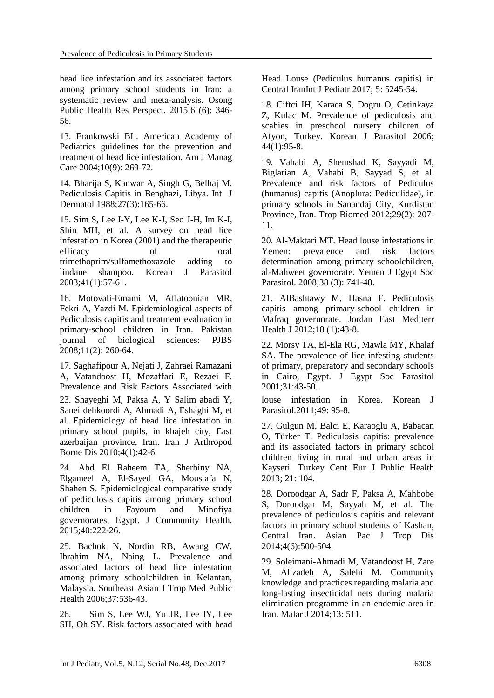head lice infestation and its associated factors among primary school students in Iran: a systematic review and meta-analysis. Osong Public Health Res Perspect. 2015;6 (6): 346- 56.

13. Frankowski BL. American Academy of Pediatrics guidelines for the prevention and treatment of head lice infestation. Am J Manag Care 2004;10(9): 269-72.

14. Bharija S, Kanwar A, Singh G, Belhaj M. Pediculosis Capitis in Benghazi, Libya. Int J Dermatol 1988;27(3):165-66.

15. Sim S, Lee I-Y, Lee K-J, Seo J-H, Im K-I, Shin MH, et al. A survey on head lice infestation in Korea (2001) and the therapeutic efficacy of oral trimethoprim/sulfamethoxazole adding to lindane shampoo. Korean J Parasitol 2003;41(1):57-61.

16. Motovali-Emami M, Aflatoonian MR, Fekri A, Yazdi M. Epidemiological aspects of Pediculosis capitis and treatment evaluation in primary-school children in Iran. Pakistan journal of biological sciences: PJBS 2008;11(2): 260-64.

17. Saghafipour A, Nejati J, Zahraei Ramazani A, Vatandoost H, Mozaffari E, Rezaei F. Prevalence and Risk Factors Associated with 23. Shayeghi M, Paksa A, Y Salim abadi Y, Sanei dehkoordi A, Ahmadi A, Eshaghi M, et al. Epidemiology of head lice infestation in primary school pupils, in khajeh city, East azerbaijan province, Iran. Iran J Arthropod Borne Dis 2010;4(1):42-6.

24. Abd El Raheem TA, Sherbiny NA, Elgameel A, El-Sayed GA, Moustafa N, Shahen S. Epidemiological comparative study of pediculosis capitis among primary school children in Fayoum and Minofiya governorates, Egypt. J Community Health. 2015;40:222-26.

25. Bachok N, Nordin RB, Awang CW, Ibrahim NA, Naing L. Prevalence and associated factors of head lice infestation among primary schoolchildren in Kelantan, Malaysia. Southeast Asian J Trop Med Public Health 2006;37:536-43.

26. Sim S, Lee WJ, Yu JR, Lee IY, Lee SH, Oh SY. Risk factors associated with head Head Louse (Pediculus humanus capitis) in Central IranInt J Pediatr 2017; 5: 5245-54.

18. Ciftci IH, Karaca S, Dogru O, Cetinkaya Z, Kulac M. Prevalence of pediculosis and scabies in preschool nursery children of Afyon, Turkey. Korean J Parasitol 2006; 44(1):95-8.

19. Vahabi A, Shemshad K, Sayyadi M, Biglarian A, Vahabi B, Sayyad S, et al. Prevalence and risk factors of Pediculus (humanus) capitis (Anoplura: Pediculidae), in primary schools in Sanandaj City, Kurdistan Province, Iran. Trop Biomed 2012;29(2): 207- 11.

20. Al-Maktari MT. Head louse infestations in Yemen: prevalence and risk factors determination among primary schoolchildren, al-Mahweet governorate. Yemen J Egypt Soc Parasitol. 2008;38 (3): 741-48.

21. AlBashtawy M, Hasna F. Pediculosis capitis among primary-school children in Mafraq governorate. Jordan East Mediterr Health J 2012;18 (1):43-8.

22. Morsy TA, El-Ela RG, Mawla MY, Khalaf SA. The prevalence of lice infesting students of primary, preparatory and secondary schools in Cairo, Egypt. J Egypt Soc Parasitol 2001;31:43-50.

louse infestation in Korea. Korean J Parasitol.2011;49: 95-8.

27. Gulgun M, Balci E, Karaoglu A, Babacan O, Türker T. Pediculosis capitis: prevalence and its associated factors in primary school children living in rural and urban areas in Kayseri. Turkey Cent Eur J Public Health 2013; 21: 104.

28. Doroodgar A, Sadr F, Paksa A, Mahbobe S, Doroodgar M, Sayyah M, et al. The prevalence of pediculosis capitis and relevant factors in primary school students of Kashan, Central Iran. Asian Pac J Trop Dis 2014;4(6):500-504.

29. Soleimani-Ahmadi M, Vatandoost H, Zare M, Alizadeh A, Salehi M. Community knowledge and practices regarding malaria and long-lasting insecticidal nets during malaria elimination programme in an endemic area in Iran. Malar J 2014;13: 511.